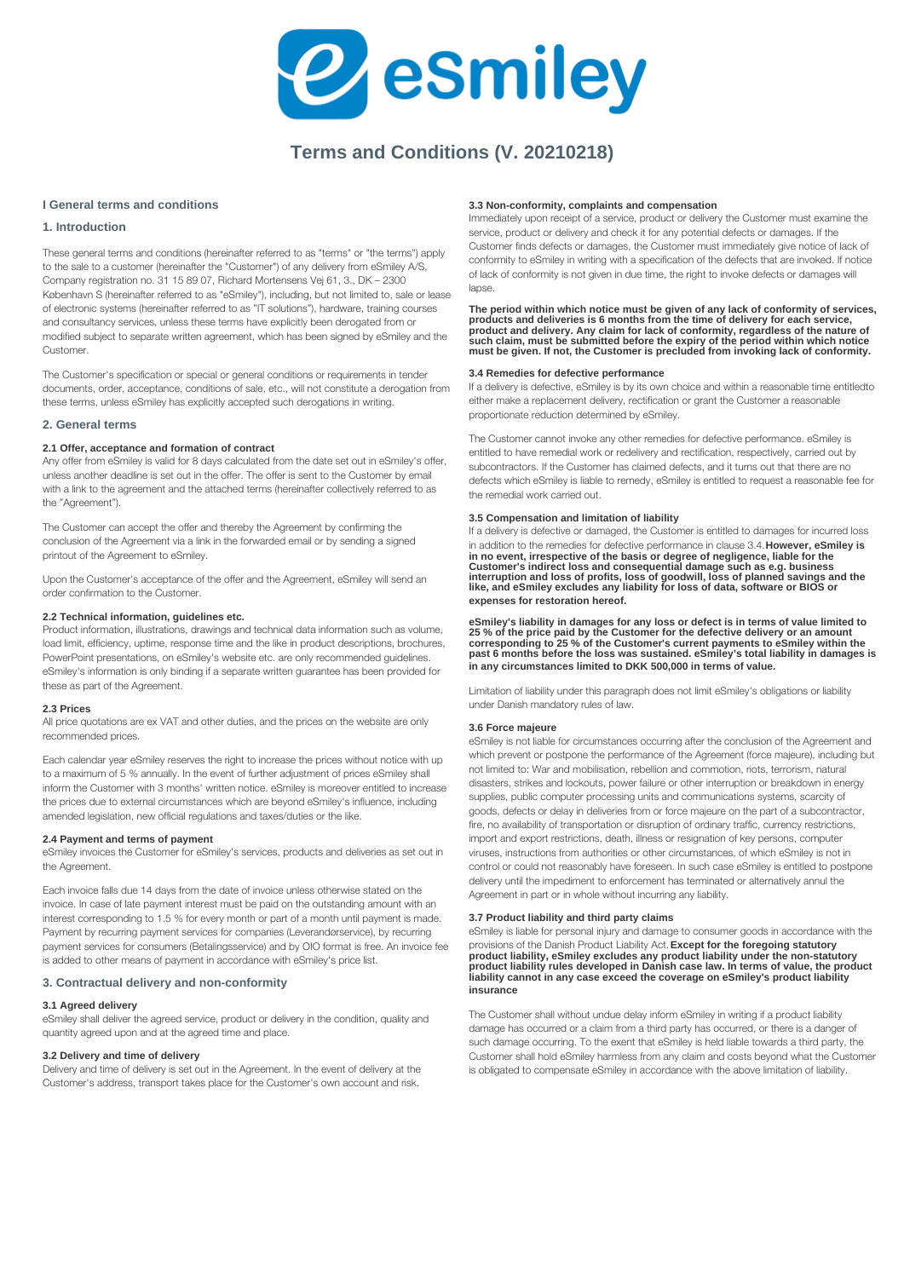

# **Terms and Conditions (V. 20210218)**

# **I General terms and conditions**

# **1. Introduction**

These general terms and conditions (hereinafter referred to as "terms" or "the terms") apply to the sale to a customer (hereinafter the "Customer") of any delivery from eSmiley A/S, Company registration no. 31 15 89 07, Richard Mortensens Vej 61, 3., DK – 2300 København S (hereinafter referred to as "eSmiley"), including, but not limited to, sale or lease of electronic systems (hereinafter referred to as "IT solutions"), hardware, training courses and consultancy services, unless these terms have explicitly been derogated from or modified subject to separate written agreement, which has been signed by eSmiley and the Customer.

The Customer's specification or special or general conditions or requirements in tender documents, order, acceptance, conditions of sale, etc., will not constitute a derogation from these terms, unless eSmiley has explicitly accepted such derogations in writing.

# **2. General terms**

#### **2.1 Offer, acceptance and formation of contract**

Any offer from eSmiley is valid for 8 days calculated from the date set out in eSmiley's offer, unless another deadline is set out in the offer. The offer is sent to the Customer by email with a link to the agreement and the attached terms (hereinafter collectively referred to as the "Agreement").

The Customer can accept the offer and thereby the Agreement by confirming the conclusion of the Agreement via a link in the forwarded email or by sending a signed printout of the Agreement to eSmiley.

Upon the Customer's acceptance of the offer and the Agreement, eSmiley will send an order confirmation to the Customer.

#### **2.2 Technical information, guidelines etc.**

Product information, illustrations, drawings and technical data information such as volume, load limit, efficiency, uptime, response time and the like in product descriptions, brochures, PowerPoint presentations, on eSmiley's website etc. are only recommended guidelines. eSmiley's information is only binding if a separate written guarantee has been provided for these as part of the Agreement.

#### **2.3 Prices**

All price quotations are ex VAT and other duties, and the prices on the website are only recommended prices.

Each calendar year eSmiley reserves the right to increase the prices without notice with up to a maximum of 5 % annually. In the event of further adjustment of prices eSmiley shall inform the Customer with 3 months' written notice. eSmiley is moreover entitled to increase the prices due to external circumstances which are beyond eSmiley's influence, including amended legislation, new official regulations and taxes/duties or the like.

# **2.4 Payment and terms of payment**

eSmiley invoices the Customer for eSmiley's services, products and deliveries as set out in the Agreement.

Each invoice falls due 14 days from the date of invoice unless otherwise stated on the invoice. In case of late payment interest must be paid on the outstanding amount with an interest corresponding to 1.5 % for every month or part of a month until payment is made. Payment by recurring payment services for companies (Leverandørservice), by recurring payment services for consumers (Betalingsservice) and by OIO format is free. An invoice fee is added to other means of payment in accordance with eSmiley's price list.

# **3. Contractual delivery and non-conformity**

# **3.1 Agreed delivery**

eSmiley shall deliver the agreed service, product or delivery in the condition, quality and quantity agreed upon and at the agreed time and place.

#### **3.2 Delivery and time of delivery**

Delivery and time of delivery is set out in the Agreement. In the event of delivery at the Customer's address, transport takes place for the Customer's own account and risk.

# **3.3 Non-conformity, complaints and compensation**

Immediately upon receipt of a service, product or delivery the Customer must examine the service, product or delivery and check it for any potential defects or damages. If the Customer finds defects or damages, the Customer must immediately give notice of lack of conformity to eSmiley in writing with a specification of the defects that are invoked. If notice of lack of conformity is not given in due time, the right to invoke defects or damages will lanse

**The period within which notice must be given of any lack of conformity of services, products and deliveries is 6 months from the time of delivery for each service,**  product and delivery. Any claim for lack of conformity, regardless of the nature of<br>such claim, must be submitted before the expiry of the period within which notice<br>must be given. If not, the Customer is precluded from in

# **3.4 Remedies for defective performance**

If a delivery is defective, eSmiley is by its own choice and within a reasonable time entitled to either make a replacement delivery, rectification or grant the Customer a reasonable proportionate reduction determined by eSmiley.

The Customer cannot invoke any other remedies for defective performance. eSmiley is entitled to have remedial work or redelivery and rectification, respectively, carried out by subcontractors. If the Customer has claimed defects, and it turns out that there are no defects which eSmiley is liable to remedy, eSmiley is entitled to request a reasonable fee for the remedial work carried out.

# **3.5 Compensation and limitation of liability**

If a delivery is defective or damaged, the Customer is entitled to damages for incurred loss in addition to the remedies for defective performance in clause 3.4. **However, eSmiley is**  in no event, irrespective of the basis or degree of negligence, liable for the<br>Customer's indirect loss and consequential damage such as e.g. business<br>interruption and loss of profits, loss of goodwill, loss of planned sav **expenses for restoration hereof.**

**eSmiley's liability in damages for any loss or defect is in terms of value limited to**  25 % of the price paid by the Customer for the defective delivery or an amount<br>corresponding to 25 % of the Customer's current payments to eSmiley within the<br>past 6 months before the loss was sustained. eSmiley's total lia **in any circumstances limited to DKK 500,000 in terms of value.**

Limitation of liability under this paragraph does not limit eSmiley's obligations or liability under Danish mandatory rules of law.

#### **3.6 Force majeure**

eSmiley is not liable for circumstances occurring after the conclusion of the Agreement and which prevent or postpone the performance of the Agreement (force majeure), including but not limited to: War and mobilisation, rebellion and commotion, riots, terrorism, natural disasters, strikes and lockouts, power failure or other interruption or breakdown in energy supplies, public computer processing units and communications systems, scarcity of goods, defects or delay in deliveries from or force majeure on the part of a subcontractor, fire, no availability of transportation or disruption of ordinary traffic, currency restrictions, import and export restrictions, death, illness or resignation of key persons, computer viruses, instructions from authorities or other circumstances, of which eSmiley is not in control or could not reasonably have foreseen. In such case eSmiley is entitled to postpone delivery until the impediment to enforcement has terminated or alternatively annul the Agreement in part or in whole without incurring any liability.

#### **3.7 Product liability and third party claims**

eSmiley is liable for personal injury and damage to consumer goods in accordance with the provisions of the Danish Product Liability Act. **Except for the foregoing statutory**  product liability, eSmiley excludes any product liability under the non-statutory<br>product liability rules developed in Danish case law. In terms of value, the product<br>liability cannot in any case exceed the coverage on eSm **insurance**

The Customer shall without undue delay inform eSmiley in writing if a product liability damage has occurred or a claim from a third party has occurred, or there is a danger of such damage occurring. To the exent that eSmiley is held liable towards a third party, the Customer shall hold eSmiley harmless from any claim and costs beyond what the Customer is obligated to compensate eSmiley in accordance with the above limitation of liability.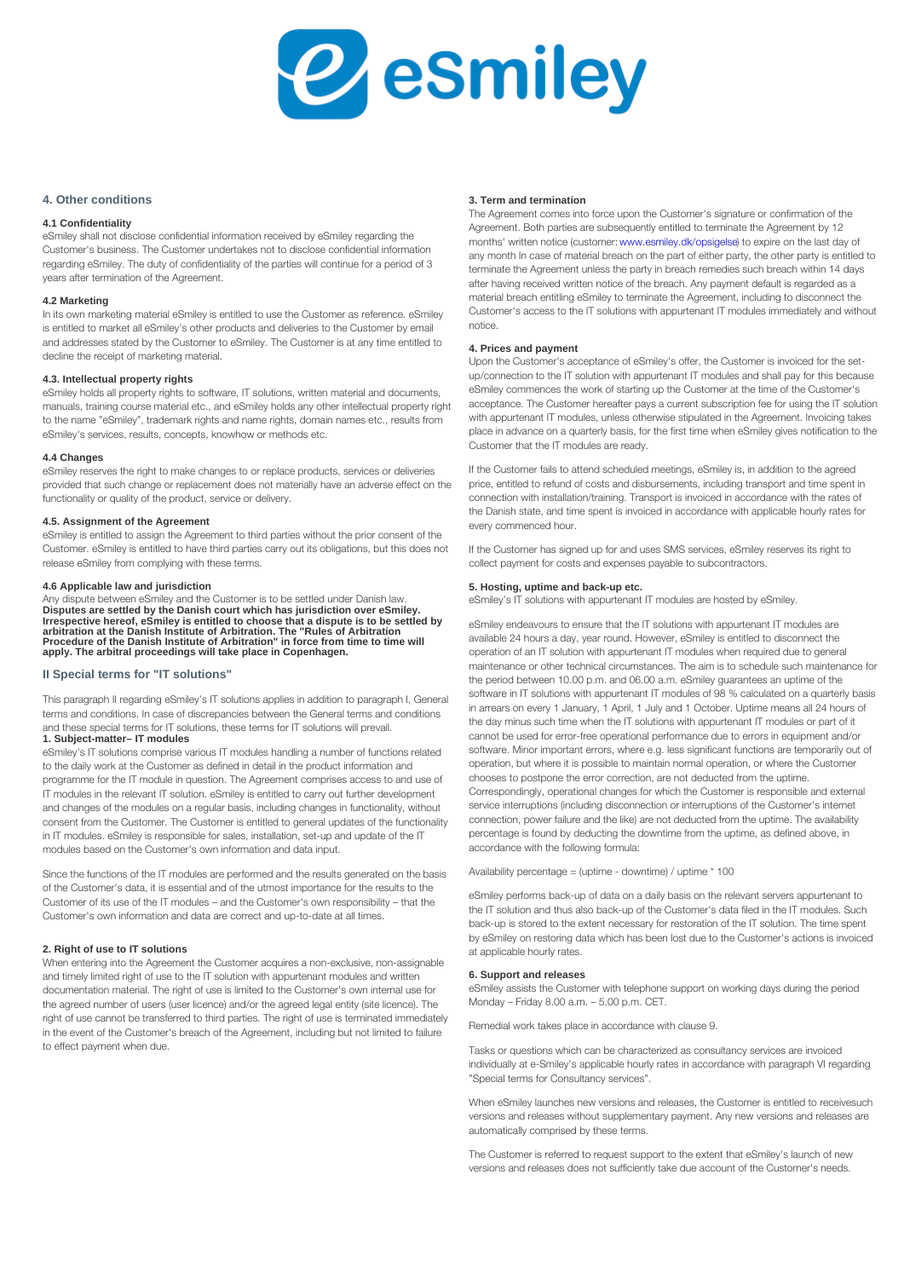#### 4. Other conditions

#### 3. Term and termination

4.1 Confidentiality eSmiley shall not disclose confidential information received by eSmiley regarding the Customer's business. The Customer undertakes not to disclose confidential information, regarding eSmiley. The duty of confidentiality of the parties  $\frac{1}{100}$  of  $\frac{1}{100}$   $\frac{1}{100}$   $\frac{1}{100}$   $\frac{1}{100}$   $\frac{1}{100}$   $\frac{1}{100}$   $\frac{1}{100}$   $\frac{1}{100}$   $\frac{1}{100}$   $\frac{1}{100}$   $\frac{1}{100}$   $\frac{1}{100}$  years after termination of the Agreement. The Agreement comes into force upon the Customer's signatur Agreement. Both parties are subsequently entitled to terminate months' written notice (customer: www.esmiley.dk/opsigelse ) to expire on the last day of 'any month In case of material preach on the part of either par after having received written notice of the breach. Any payment material breach entitling eSmiley to terminate the Agreement,

#### 4.2 Marketing

In its own marketing material eSmiley is entitled to use the CCG to The Taks PSP te The US manusum swith appurtenant IT mod is entitled to market all eSmiley's other products and deli $\emptyset$ efies to the Customer by email and addresses stated by the Customer to eSmiley. The Customer is at any time entitled to 4. Prices and payment decline the receipt of marketing material.

#### 4.3. Intellectual property rights

Upon the Customer's acceptance of eSmiley's offer, the Custo up/connection to the IT solution with appurtenant IT modules a

e Smiley holds all property rights to software, IT solutionse Swpileyncman@eppeqe&nth a weankenits, tarting up the Customer at th manuals, training course material etc., and eSmiley holds ?&APSP Punder in Tell ee Euse P People of Genigent pays a current subscriptio to the name eSmiley , trademark rights and name rights, Wetha?nPhkhh&saBic!! pessulles whaless otherwise stipulated in th eSmiley's services, results, concepts, knowhow or method  $e^i e^{\alpha}e$ , in advance on a quarterly basis, for the first time when Customer that the IT modules are ready.

#### 4.4 Changes

e Smiley reserves the right to make changes to or replace probled Gestscomercé ailorto eaily endes cheduled meetings, e Smiley is provided that such change or replacement does not materially ehaavetialhed diverseus of food than and disbursements, including functionality or quality of the product, service or delivery connection with installation/training. Transport is invoiced in the Danish state, and time spent is invoiced in accordance with

#### 4.5. Assignment of the Agreement

eSmiley is entitled to assign the Agreement to third parties without the prior consent of the every commenced hour. Customer. eSmiley is entitled to have third parties carry dutthus Coubsitganted nhsasbusitghheid dpefsom and uses SMS services, eSm release eSmiley from complying with these terms. collect payment for costs and expenses payable to subcontrac

#### 4.6 Applicable law and jurisdiction

Any dispute between eSmiley and the Customer is to be seet\$ImedleuyndelrTDsaonlusthohaswwith appurtenant IT modules are hosted Disputes are settled by the Danish court which has jurisdiction over eSmiley. Irrespective hereof, eSmiley is entitled to choose that a dispute is to be settled by arbitration at the Danish Institute of Arbitration. The "Rules of Arbitration Procedure of the Danish Institute of Arbitration" in force from time to time will apply. The arbitral proceedings will take place in Copenhagen.

# 5. Hosting, uptime and back-up etc.

eSmiley endeavours to ensure that the IT solutions with appur available 24 hours a day, year round. However, eSmiley is ent operation of an IT solution with appurtenant IT modules when maintenance or other technical circumstances. The aim is to s the period between 10.00 p.m. and 06.00 a.m. eSmiley guarant

### II Special terms for "IT solutions"

This paragraph II regarding eSmiley s IT solutions applies th addition to paragraph I, General terms and conditions. In case of discrepancies between the General terms and conditions and these special terms for IT solutions, these terms for IT solutions and these wind by the vall?<br>1. Subject-matter— IT modules software in IT solutions with appurtenant IT modules of 98 % c in arrears on every 1 January, 1 April, 1 July and 1 October. U ,the  $\bar{d}$ ay minus such time when the IT solutions with appurtenar cannot be used for error-free operational performance due to  $\epsilon$ 

e Smiley's IT solutions comprise various IT modules handlining tawa un bolling rimpropriant requents, where e.g. less significant f to the daily work at the Customer as defined in detail in the epedique the whele phit and possible to maintain normal operatio programme for the IT module in question. The Agreement E&MB\$PS&\$0aB8E\$B0P& ahe essoficorrection, are not deducted fro IT modules in the relevant IT solution. eSmiley is entitled<sup>C</sup>tOrlc&sppondinglykth&ared@tv@nbapImGehanges for which the Customer and changes of the modules on a regular basis, including & h&Yriges interunetionality chyping disconnection or interruptions consent from the Customer. The Customer is entitled to genpenhaq cuipodhateles wertheihun he engelathiey like) are not deducted from in IT modules. eSmiley is responsible for sales, installati&n, sentagears foly bedtey open letting the downtime from the uptim modules based on the Customer's own information and dat ac populance with the following formula:

Since the functions of the IT modules are performed and the and and the results of  $r$  and  $\epsilon$  and  $\epsilon$  and  $\epsilon$  and  $\epsilon$  and  $\epsilon$  and  $\epsilon$  and  $\epsilon$  and  $\epsilon$  and  $\epsilon$  and  $\epsilon$  and  $\epsilon$  and  $\epsilon$  and  $\epsilon$  and  $\epsilon$  and  $\epsilon$  of the Customer's data, it is essential and of the utmost importance for the results to the

Customer of its use of the IT modules and the Customer's own responsibility "that the Customer's own information and data are correct and up-to-date at all times. eSmiley performs back-up of data on a daily basis on the relev the IT solution and thus also back-up of the Customer's data f back-up is stored to the extent necessary for restoration of th by eSmiley on restoring data which has been lost due to the C

# 2. Right of use to IT solutions

When entering into the Agreement the Customer acquires a non-exclusive, non-assignable at applicable hourly rates.

and timely limited right of use to the IT solution with app6. Support and medent sepses and written

documentation material. The right of use is limited to the む呀じ呀 benyed is in hee いまい ungerforth telephone support on working the agreed number of users (user licence) and/or the agre@e0η@eg)al ehrideepy(ይit@0|ρ.em}.ce)5. የβρ. m. CET.

right of use cannot be transferred to third parties. The right of use is terminated immediately in the event of the Customer's breach of the Agreement, including but not limited to failure Remedial work takes place in accordance with clause 9.

# to effect payment when due.

Tasks or questions which can be characterized as consultancy individually at e-Smiley s applicable hourly rates in accordand Special terms for Consultancy services .

When eSmiley launches new versions and releases, thus hCustom versions and releases without supplementary payment. Any ne automatically comprised by these terms.

The Customer is referred to request support to the extent that versions and releases does not sufficiently take due account of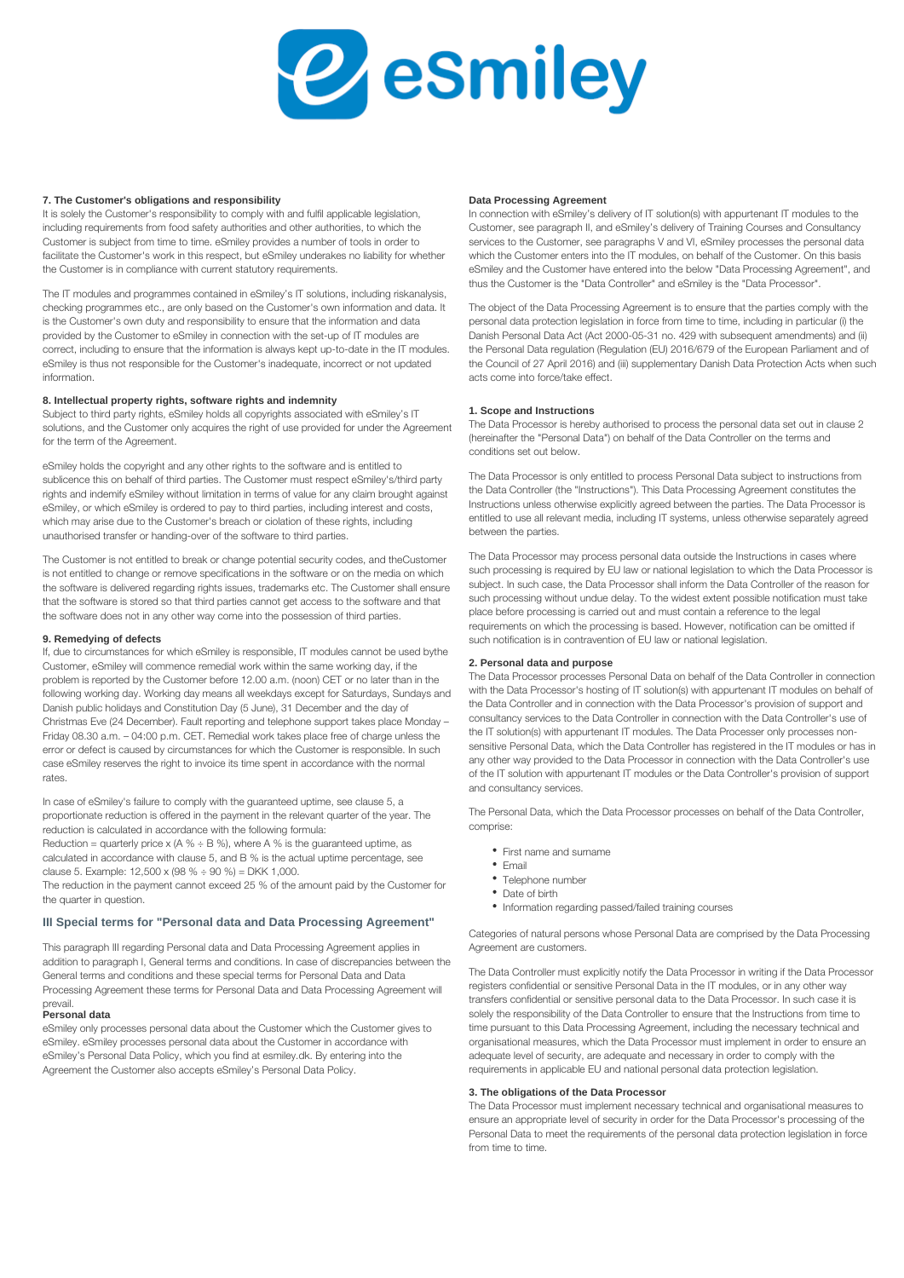

#### **7. The Customer's obligations and responsibility**

It is solely the Customer's responsibility to comply with and fulfil applicable legislation, including requirements from food safety authorities and other authorities, to which the Customer is subject from time to time. eSmiley provides a number of tools in order to facilitate the Customer's work in this respect, but eSmiley underakes no liability for whether the Customer is in compliance with current statutory requirements.

The IT modules and programmes contained in eSmiley's IT solutions, including riskanalysis, checking programmes etc., are only based on the Customer's own information and data. It is the Customer's own duty and responsibility to ensure that the information and data provided by the Customer to eSmiley in connection with the set-up of IT modules are correct, including to ensure that the information is always kept up-to-date in the IT modules. eSmiley is thus not responsible for the Customer's inadequate, incorrect or not updated information.

# **8. Intellectual property rights, software rights and indemnity**

Subject to third party rights, eSmiley holds all copyrights associated with eSmiley's IT solutions, and the Customer only acquires the right of use provided for under the Agreement for the term of the Agreement.

eSmiley holds the copyright and any other rights to the software and is entitled to sublicence this on behalf of third parties. The Customer must respect eSmiley's/third party rights and indemify eSmiley without limitation in terms of value for any claim brought against eSmiley, or which eSmiley is ordered to pay to third parties, including interest and costs, which may arise due to the Customer's breach or ciolation of these rights, including unauthorised transfer or handing-over of the software to third parties.

The Customer is not entitled to break or change potential security codes, and the Customer is not entitled to change or remove specifications in the software or on the media on which the software is delivered regarding rights issues, trademarks etc. The Customer shall ensure that the software is stored so that third parties cannot get access to the software and that the software does not in any other way come into the possession of third parties.

# **9. Remedying of defects**

If, due to circumstances for which eSmiley is responsible, IT modules cannot be used by the Customer, eSmiley will commence remedial work within the same working day, if the problem is reported by the Customer before 12.00 a.m. (noon) CET or no later than in the following working day. Working day means all weekdays except for Saturdays, Sundays and Danish public holidays and Constitution Day (5 June), 31 December and the day of Christmas Eve (24 December). Fault reporting and telephone support takes place Monday – Friday 08.30 a.m. – 04:00 p.m. CET. Remedial work takes place free of charge unless the error or defect is caused by circumstances for which the Customer is responsible. In such case eSmiley reserves the right to invoice its time spent in accordance with the normal rates.

In case of eSmiley's failure to comply with the guaranteed uptime, see clause 5, a proportionate reduction is offered in the payment in the relevant quarter of the year. The reduction is calculated in accordance with the following formula:

Reduction = quarterly price x (A %  $\div$  B %), where A % is the guaranteed uptime, as calculated in accordance with clause 5, and B % is the actual uptime percentage, see clause 5. Example: 12,500 x (98 % ÷ 90 %) = DKK 1,000.

The reduction in the payment cannot exceed 25 % of the amount paid by the Customer for the quarter in question.

# **III Special terms for "Personal data and Data Processing Agreement"**

This paragraph III regarding Personal data and Data Processing Agreement applies in addition to paragraph I, General terms and conditions. In case of discrepancies between the General terms and conditions and these special terms for Personal Data and Data Processing Agreement these terms for Personal Data and Data Processing Agreement will prevail.

#### **Personal data**

eSmiley only processes personal data about the Customer which the Customer gives to eSmiley. eSmiley processes personal data about the Customer in accordance with eSmiley's Personal Data Policy, which you find at esmiley.dk. By entering into the Agreement the Customer also accepts eSmiley's Personal Data Policy.

#### **Data Processing Agreement**

In connection with eSmiley's delivery of IT solution(s) with appurtenant IT modules to the Customer, see paragraph II, and eSmiley's delivery of Training Courses and Consultancy services to the Customer, see paragraphs V and VI, eSmiley processes the personal data which the Customer enters into the IT modules, on behalf of the Customer. On this basis eSmiley and the Customer have entered into the below "Data Processing Agreement", and thus the Customer is the "Data Controller" and eSmiley is the "Data Processor".

The object of the Data Processing Agreement is to ensure that the parties comply with the personal data protection legislation in force from time to time, including in particular (i) the Danish Personal Data Act (Act 2000-05-31 no. 429 with subsequent amendments) and (ii) the Personal Data regulation (Regulation (EU) 2016/679 of the European Parliament and of the Council of 27 April 2016) and (iii) supplementary Danish Data Protection Acts when such acts come into force/take effect.

#### **1. Scope and Instructions**

The Data Processor is hereby authorised to process the personal data set out in clause 2 (hereinafter the "Personal Data") on behalf of the Data Controller on the terms and conditions set out below.

The Data Processor is only entitled to process Personal Data subject to instructions from the Data Controller (the "Instructions"). This Data Processing Agreement constitutes the Instructions unless otherwise explicitly agreed between the parties. The Data Processor is entitled to use all relevant media, including IT systems, unless otherwise separately agreed between the parties.

The Data Processor may process personal data outside the Instructions in cases where such processing is required by EU law or national legislation to which the Data Processor is subject. In such case, the Data Processor shall inform the Data Controller of the reason for such processing without undue delay. To the widest extent possible notification must take place before processing is carried out and must contain a reference to the legal requirements on which the processing is based. However, notification can be omitted if such notification is in contravention of EU law or national legislation.

#### **2. Personal data and purpose**

The Data Processor processes Personal Data on behalf of the Data Controller in connection with the Data Processor's hosting of IT solution(s) with appurtenant IT modules on behalf of the Data Controller and in connection with the Data Processor's provision of support and consultancy services to the Data Controller in connection with the Data Controller's use of the IT solution(s) with appurtenant IT modules. The Data Processer only processes nonsensitive Personal Data, which the Data Controller has registered in the IT modules or has in any other way provided to the Data Processor in connection with the Data Controller's use of the IT solution with appurtenant IT modules or the Data Controller's provision of support and consultancy services.

The Personal Data, which the Data Processor processes on behalf of the Data Controller, comprise:

- First name and surname
- Email
- Telephone number
- Date of birth
- Information regarding passed/failed training courses

Categories of natural persons whose Personal Data are comprised by the Data Processing Agreement are customers.

The Data Controller must explicitly notify the Data Processor in writing if the Data Processor registers confidential or sensitive Personal Data in the IT modules, or in any other way transfers confidential or sensitive personal data to the Data Processor. In such case it is solely the responsibility of the Data Controller to ensure that the Instructions from time to time pursuant to this Data Processing Agreement, including the necessary technical and organisational measures, which the Data Processor must implement in order to ensure an adequate level of security, are adequate and necessary in order to comply with the requirements in applicable EU and national personal data protection legislation.

# **3. The obligations of the Data Processor**

The Data Processor must implement necessary technical and organisational measures to ensure an appropriate level of security in order for the Data Processor's processing of the Personal Data to meet the requirements of the personal data protection legislation in force from time to time.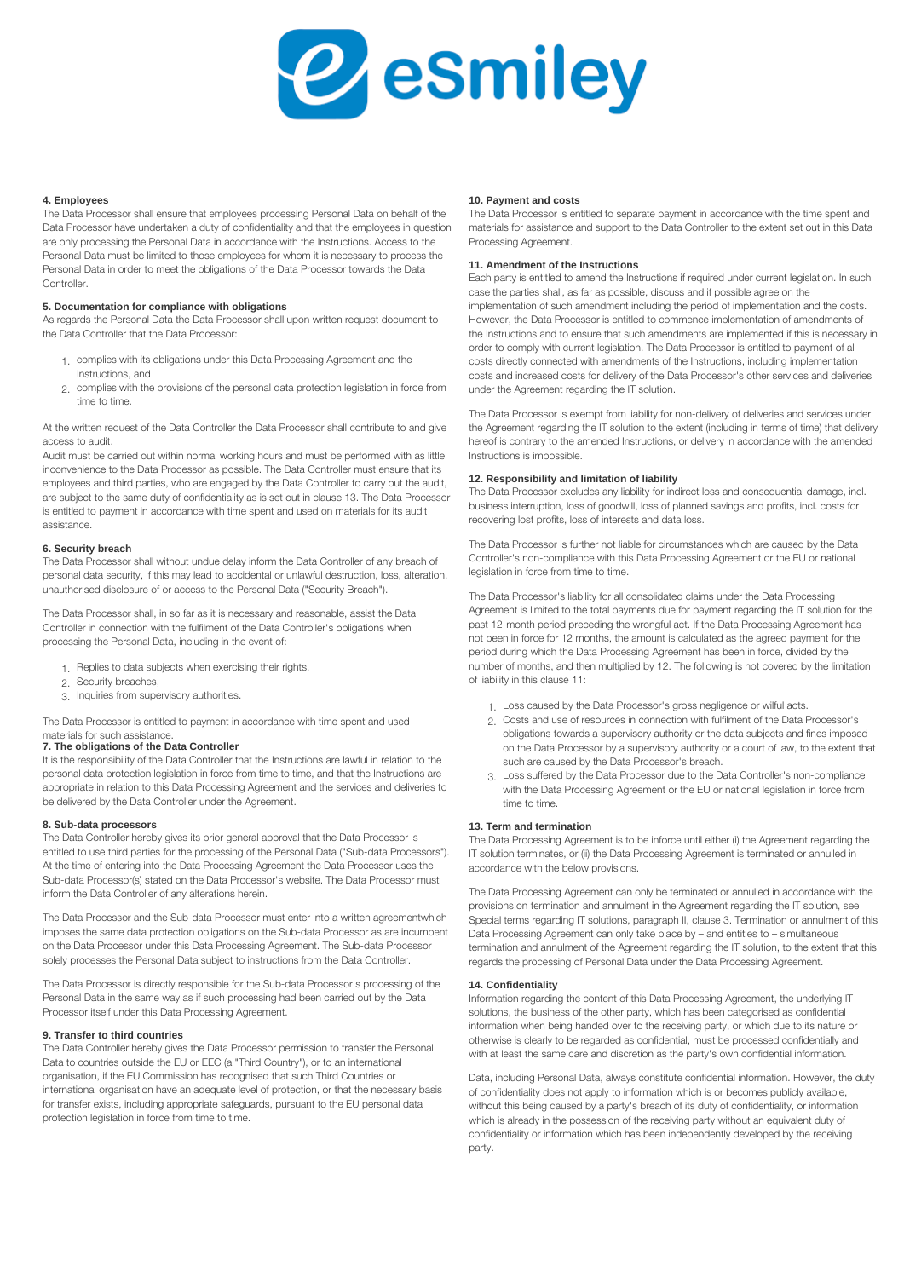

#### **4. Employees**

The Data Processor shall ensure that employees processing Personal Data on behalf of the Data Processor have undertaken a duty of confidentiality and that the employees in question are only processing the Personal Data in accordance with the Instructions. Access to the Personal Data must be limited to those employees for whom it is necessary to process the Personal Data in order to meet the obligations of the Data Processor towards the Data **Controller** 

# **5. Documentation for compliance with obligations**

As regards the Personal Data the Data Processor shall upon written request document to the Data Controller that the Data Processor:

- 1. complies with its obligations under this Data Processing Agreement and the Instructions, and
- 2. complies with the provisions of the personal data protection legislation in force from time to time.

At the written request of the Data Controller the Data Processor shall contribute to and give access to audit.

Audit must be carried out within normal working hours and must be performed with as little inconvenience to the Data Processor as possible. The Data Controller must ensure that its employees and third parties, who are engaged by the Data Controller to carry out the audit, are subject to the same duty of confidentiality as is set out in clause 13. The Data Processor is entitled to payment in accordance with time spent and used on materials for its audit assistance.

#### **6. Security breach**

The Data Processor shall without undue delay inform the Data Controller of any breach of personal data security, if this may lead to accidental or unlawful destruction, loss, alteration, unauthorised disclosure of or access to the Personal Data ("Security Breach").

The Data Processor shall, in so far as it is necessary and reasonable, assist the Data Controller in connection with the fulfilment of the Data Controller's obligations when processing the Personal Data, including in the event of:

- 1. Replies to data subjects when exercising their rights,
- 2. Security breaches,
- 3. Inquiries from supervisory authorities.

The Data Processor is entitled to payment in accordance with time spent and used materials for such assistance.

# **7. The obligations of the Data Controller**

It is the responsibility of the Data Controller that the Instructions are lawful in relation to the personal data protection legislation in force from time to time, and that the Instructions are appropriate in relation to this Data Processing Agreement and the services and deliveries to be delivered by the Data Controller under the Agreement.

# **8. Sub-data processors**

The Data Controller hereby gives its prior general approval that the Data Processor is entitled to use third parties for the processing of the Personal Data ("Sub-data Processors"). At the time of entering into the Data Processing Agreement the Data Processor uses the Sub-data Processor(s) stated on the Data Processor's website. The Data Processor must inform the Data Controller of any alterations herein.

The Data Processor and the Sub-data Processor must enter into a written agreement which imposes the same data protection obligations on the Sub-data Processor as are incumbent on the Data Processor under this Data Processing Agreement. The Sub-data Processor solely processes the Personal Data subject to instructions from the Data Controller.

The Data Processor is directly responsible for the Sub-data Processor's processing of the Personal Data in the same way as if such processing had been carried out by the Data Processor itself under this Data Processing Agreement.

# **9. Transfer to third countries**

The Data Controller hereby gives the Data Processor permission to transfer the Personal Data to countries outside the EU or EEC (a "Third Country"), or to an international organisation, if the EU Commission has recognised that such Third Countries or international organisation have an adequate level of protection, or that the necessary basis for transfer exists, including appropriate safeguards, pursuant to the EU personal data protection legislation in force from time to time.

#### **10. Payment and costs**

The Data Processor is entitled to separate payment in accordance with the time spent and materials for assistance and support to the Data Controller to the extent set out in this Data Processing Agreement.

# **11. Amendment of the Instructions**

Each party is entitled to amend the Instructions if required under current legislation. In such case the parties shall, as far as possible, discuss and if possible agree on the implementation of such amendment including the period of implementation and the costs. However, the Data Processor is entitled to commence implementation of amendments of the Instructions and to ensure that such amendments are implemented if this is necessary in order to comply with current legislation. The Data Processor is entitled to payment of all costs directly connected with amendments of the Instructions, including implementation costs and increased costs for delivery of the Data Processor's other services and deliveries under the Agreement regarding the IT solution.

The Data Processor is exempt from liability for non-delivery of deliveries and services under the Agreement regarding the IT solution to the extent (including in terms of time) that delivery hereof is contrary to the amended Instructions, or delivery in accordance with the amended Instructions is impossible.

# **12. Responsibility and limitation of liability**

The Data Processor excludes any liability for indirect loss and consequential damage, incl. business interruption, loss of goodwill, loss of planned savings and profits, incl. costs for recovering lost profits, loss of interests and data loss.

The Data Processor is further not liable for circumstances which are caused by the Data Controller's non-compliance with this Data Processing Agreement or the EU or national legislation in force from time to time.

The Data Processor's liability for all consolidated claims under the Data Processing Agreement is limited to the total payments due for payment regarding the IT solution for the past 12-month period preceding the wrongful act. If the Data Processing Agreement has not been in force for 12 months, the amount is calculated as the agreed payment for the period during which the Data Processing Agreement has been in force, divided by the number of months, and then multiplied by 12. The following is not covered by the limitation of liability in this clause 11:

- 1. Loss caused by the Data Processor's gross negligence or wilful acts.
- 2. Costs and use of resources in connection with fulfilment of the Data Processor's obligations towards a supervisory authority or the data subjects and fines imposed on the Data Processor by a supervisory authority or a court of law, to the extent that such are caused by the Data Processor's breach.
- 3. Loss suffered by the Data Processor due to the Data Controller's non-compliance with the Data Processing Agreement or the EU or national legislation in force from time to time.

#### **13. Term and termination**

The Data Processing Agreement is to be inforce until either (i) the Agreement regarding the IT solution terminates, or (ii) the Data Processing Agreement is terminated or annulled in accordance with the below provisions.

The Data Processing Agreement can only be terminated or annulled in accordance with the provisions on termination and annulment in the Agreement regarding the IT solution, see Special terms regarding IT solutions, paragraph II, clause 3. Termination or annulment of this Data Processing Agreement can only take place by – and entitles to – simultaneous termination and annulment of the Agreement regarding the IT solution, to the extent that this regards the processing of Personal Data under the Data Processing Agreement.

#### **14. Confidentiality**

Information regarding the content of this Data Processing Agreement, the underlying IT solutions, the business of the other party, which has been categorised as confidential information when being handed over to the receiving party, or which due to its nature or otherwise is clearly to be regarded as confidential, must be processed confidentially and with at least the same care and discretion as the party's own confidential information.

Data, including Personal Data, always constitute confidential information. However, the duty of confidentiality does not apply to information which is or becomes publicly available, without this being caused by a party's breach of its duty of confidentiality, or information which is already in the possession of the receiving party without an equivalent duty of confidentiality or information which has been independently developed by the receiving party.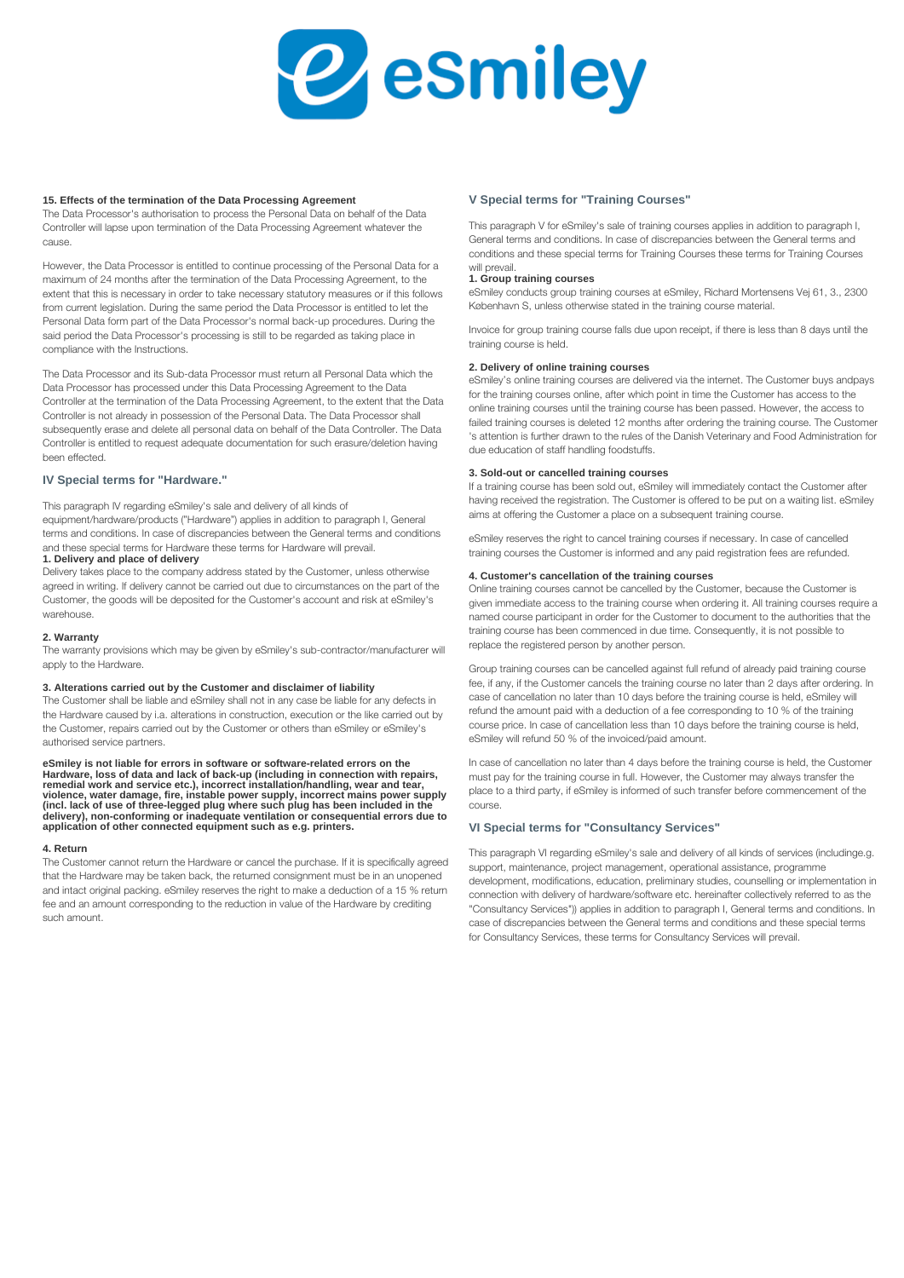

#### **15. Effects of the termination of the Data Processing Agreement**

The Data Processor's authorisation to process the Personal Data on behalf of the Data Controller will lapse upon termination of the Data Processing Agreement whatever the cause.

However, the Data Processor is entitled to continue processing of the Personal Data for a maximum of 24 months after the termination of the Data Processing Agreement, to the extent that this is necessary in order to take necessary statutory measures or if this follows from current legislation. During the same period the Data Processor is entitled to let the Personal Data form part of the Data Processor's normal back-up procedures. During the said period the Data Processor's processing is still to be regarded as taking place in compliance with the Instructions.

The Data Processor and its Sub-data Processor must return all Personal Data which the Data Processor has processed under this Data Processing Agreement to the Data Controller at the termination of the Data Processing Agreement, to the extent that the Data Controller is not already in possession of the Personal Data. The Data Processor shall subsequently erase and delete all personal data on behalf of the Data Controller. The Data Controller is entitled to request adequate documentation for such erasure/deletion having been effected.

# **IV Special terms for "Hardware."**

This paragraph IV regarding eSmiley's sale and delivery of all kinds of

equipment/hardware/products ("Hardware") applies in addition to paragraph I, General terms and conditions. In case of discrepancies between the General terms and conditions and these special terms for Hardware these terms for Hardware will prevail. **1. Delivery and place of delivery**

Delivery takes place to the company address stated by the Customer, unless otherwise agreed in writing. If delivery cannot be carried out due to circumstances on the part of the Customer, the goods will be deposited for the Customer's account and risk at eSmiley's warehouse.

#### **2. Warranty**

The warranty provisions which may be given by eSmiley's sub-contractor/manufacturer will apply to the Hardware.

## **3. Alterations carried out by the Customer and disclaimer of liability**

The Customer shall be liable and eSmiley shall not in any case be liable for any defects in the Hardware caused by i.a. alterations in construction, execution or the like carried out by the Customer, repairs carried out by the Customer or others than eSmiley or eSmiley's authorised service partners.

**eSmiley is not liable for errors in software or software-related errors on the**  Hardware, loss of data and lack of back-up (including in connection with repairs,<br>remedial work and service etc.), incorrect installation/handling, wear and tear,<br>violence, water damage, fire, instable power supply, incorr **application of other connected equipment such as e.g. printers.** 

#### **4. Return**

The Customer cannot return the Hardware or cancel the purchase. If it is specifically agreed that the Hardware may be taken back, the returned consignment must be in an unopened and intact original packing. eSmiley reserves the right to make a deduction of a 15 % return fee and an amount corresponding to the reduction in value of the Hardware by crediting such amount.

### **V Special terms for "Training Courses"**

This paragraph V for eSmiley's sale of training courses applies in addition to paragraph I, General terms and conditions. In case of discrepancies between the General terms and conditions and these special terms for Training Courses these terms for Training Courses will prevail

#### **1. Group training courses**

eSmiley conducts group training courses at eSmiley, Richard Mortensens Vej 61, 3., 2300 København S, unless otherwise stated in the training course material.

Invoice for group training course falls due upon receipt, if there is less than 8 days until the training course is held.

#### **2. Delivery of online training courses**

eSmiley's online training courses are delivered via the internet. The Customer buys and pays for the training courses online, after which point in time the Customer has access to the online training courses until the training course has been passed. However, the access to failed training courses is deleted 12 months after ordering the training course. The Customer 's attention is further drawn to the rules of the Danish Veterinary and Food Administration for due education of staff handling foodstuffs.

# **3. Sold-out or cancelled training courses**

If a training course has been sold out, eSmiley will immediately contact the Customer after having received the registration. The Customer is offered to be put on a waiting list. eSmiley aims at offering the Customer a place on a subsequent training course.

eSmiley reserves the right to cancel training courses if necessary. In case of cancelled training courses the Customer is informed and any paid registration fees are refunded.

# **4. Customer's cancellation of the training courses**

Online training courses cannot be cancelled by the Customer, because the Customer is given immediate access to the training course when ordering it. All training courses require a named course participant in order for the Customer to document to the authorities that the training course has been commenced in due time. Consequently, it is not possible to replace the registered person by another person.

Group training courses can be cancelled against full refund of already paid training course fee, if any, if the Customer cancels the training course no later than 2 days after ordering. In case of cancellation no later than 10 days before the training course is held, eSmiley will refund the amount paid with a deduction of a fee corresponding to 10 % of the training course price. In case of cancellation less than 10 days before the training course is held, eSmiley will refund 50 % of the invoiced/paid amount.

In case of cancellation no later than 4 days before the training course is held, the Customer must pay for the training course in full. However, the Customer may always transfer the place to a third party, if eSmiley is informed of such transfer before commencement of the course.

# **VI Special terms for "Consultancy Services"**

This paragraph VI regarding eSmiley's sale and delivery of all kinds of services (includinge.g. support, maintenance, project management, operational assistance, programme development, modifications, education, preliminary studies, counselling or implementation in connection with delivery of hardware/software etc. hereinafter collectively referred to as the "Consultancy Services")) applies in addition to paragraph I, General terms and conditions. In case of discrepancies between the General terms and conditions and these special terms for Consultancy Services, these terms for Consultancy Services will prevail.